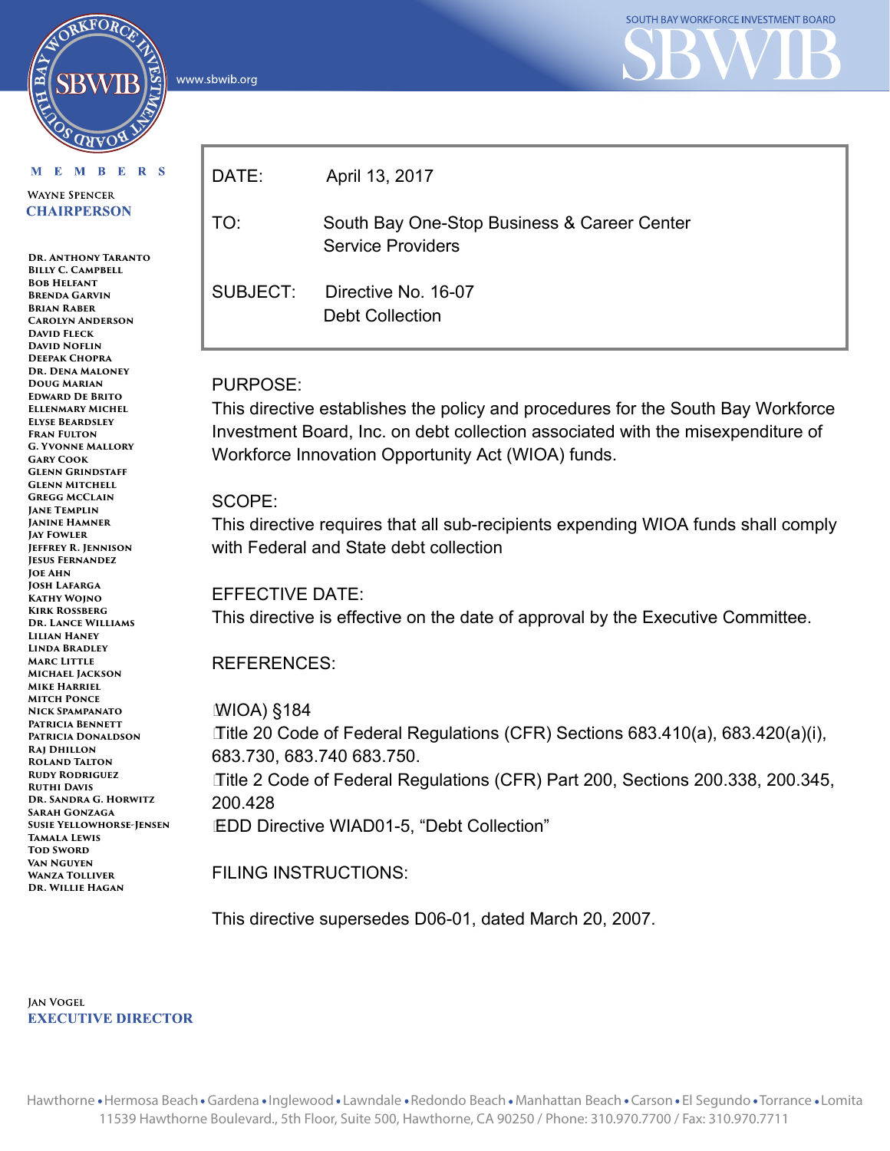www.sbwib.org



#### M E M B E R S

RKFORC

**WAYNE SPENCER CHAIRPERSON** 

**Dr. Anthony Taranto BILLY C. CAMPBELL Bob Helfant Brenda Garvin Brian Raber Carolyn Anderson David Fleck David Noflin Deepak Chopra Dr. Dena Maloney Doug Marian Edward De Brito Ellenmary Michel Elyse Beardsley Fran Fulton G. Yvonne Mallory Gary Cook Glenn Grindstaff Glenn Mitchell Gregg McClain Jane Templin Janine Hamner Jay Fowler Jeffrey R. Jennison Jesus Fernandez Joe Ahn Josh Lafarga Kathy Wojno Kirk Rossberg Dr. Lance Williams Lilian Haney Linda Bradley Marc Little Michael Jackson Mike Harriel Mitch Ponce Nick Spampanato Patricia Bennett Patricia Donaldson Raj Dhillon Roland Talton Rudy Rodriguez Ruthi Davis Dr. Sandra G. Horwitz Sarah Gonzaga Susie Yellowhorse-Jensen Tamala Lewis TOD SWORD Van Nguyen Wanza Tolliver Dr. Willie Hagan**

| DATE:    | April 13, 2017                                                          |
|----------|-------------------------------------------------------------------------|
| TO:      | South Bay One-Stop Business & Career Center<br><b>Service Providers</b> |
| SUBJECT: | Directive No. 16-07<br><b>Debt Collection</b>                           |

#### PURPOSE:

This directive establishes the policy and procedures for the South Bay Workforce Investment Board, Inc. on debt collection associated with the misexpenditure of Workforce Innovation Opportunity Act (WIOA) funds.

#### SCOPE:

This directive requires that all sub-recipients expending WIOA funds shall comply with Federal and State debt collection

#### EFFECTIVE DATE:

This directive is effective on the date of approval by the Executive Committee.

#### REFERENCES:

WIOA) §184 Title 20 Code of Federal Regulations (CFR) Sections 683.410(a), 683.420(a)(i), 683.730, 683.740 683.750. Title 2 Code of Federal Regulations (CFR) Part 200, Sections 200.338, 200.345, 200.428 EDD Directive WIAD01-5, "Debt Collection"

FILING INSTRUCTIONS:

This directive supersedes D06-01, dated March 20, 2007.

**JAN VOGEL EXECUTIVE DIRECTOR**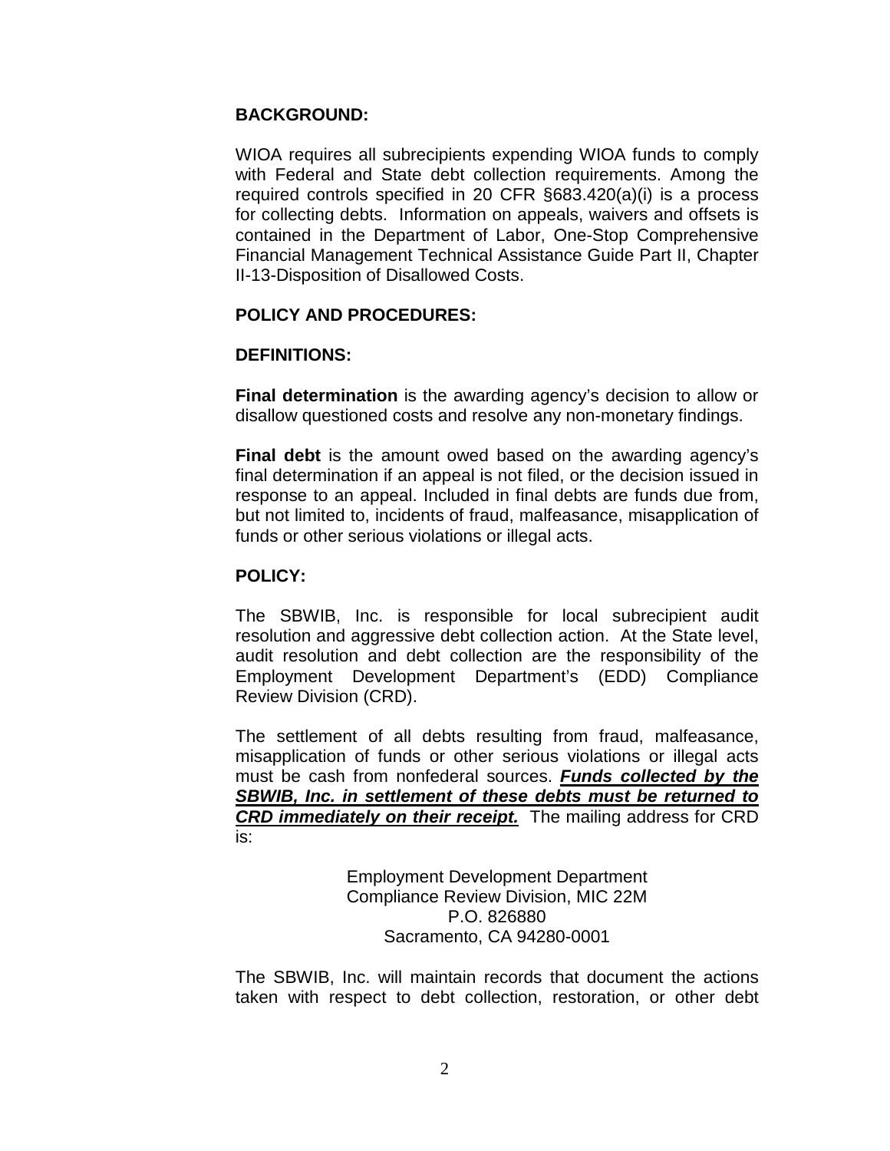### **BACKGROUND:**

WIOA requires all subrecipients expending WIOA funds to comply with Federal and State debt collection requirements. Among the required controls specified in 20 CFR §683.420(a)(i) is a process for collecting debts. Information on appeals, waivers and offsets is contained in the Department of Labor, One-Stop Comprehensive Financial Management Technical Assistance Guide Part II, Chapter II-13-Disposition of Disallowed Costs.

#### **POLICY AND PROCEDURES:**

#### **DEFINITIONS:**

**Final determination** is the awarding agency's decision to allow or disallow questioned costs and resolve any non-monetary findings.

**Final debt** is the amount owed based on the awarding agency's final determination if an appeal is not filed, or the decision issued in response to an appeal. Included in final debts are funds due from, but not limited to, incidents of fraud, malfeasance, misapplication of funds or other serious violations or illegal acts.

#### **POLICY:**

The SBWIB, Inc. is responsible for local subrecipient audit resolution and aggressive debt collection action. At the State level, audit resolution and debt collection are the responsibility of the Employment Development Department's (EDD) Compliance Review Division (CRD).

The settlement of all debts resulting from fraud, malfeasance, misapplication of funds or other serious violations or illegal acts must be cash from nonfederal sources. *Funds collected by the SBWIB, Inc. in settlement of these debts must be returned to CRD immediately on their receipt.* The mailing address for CRD is:

> Employment Development Department Compliance Review Division, MIC 22M P.O. 826880 Sacramento, CA 94280-0001

The SBWIB, Inc. will maintain records that document the actions taken with respect to debt collection, restoration, or other debt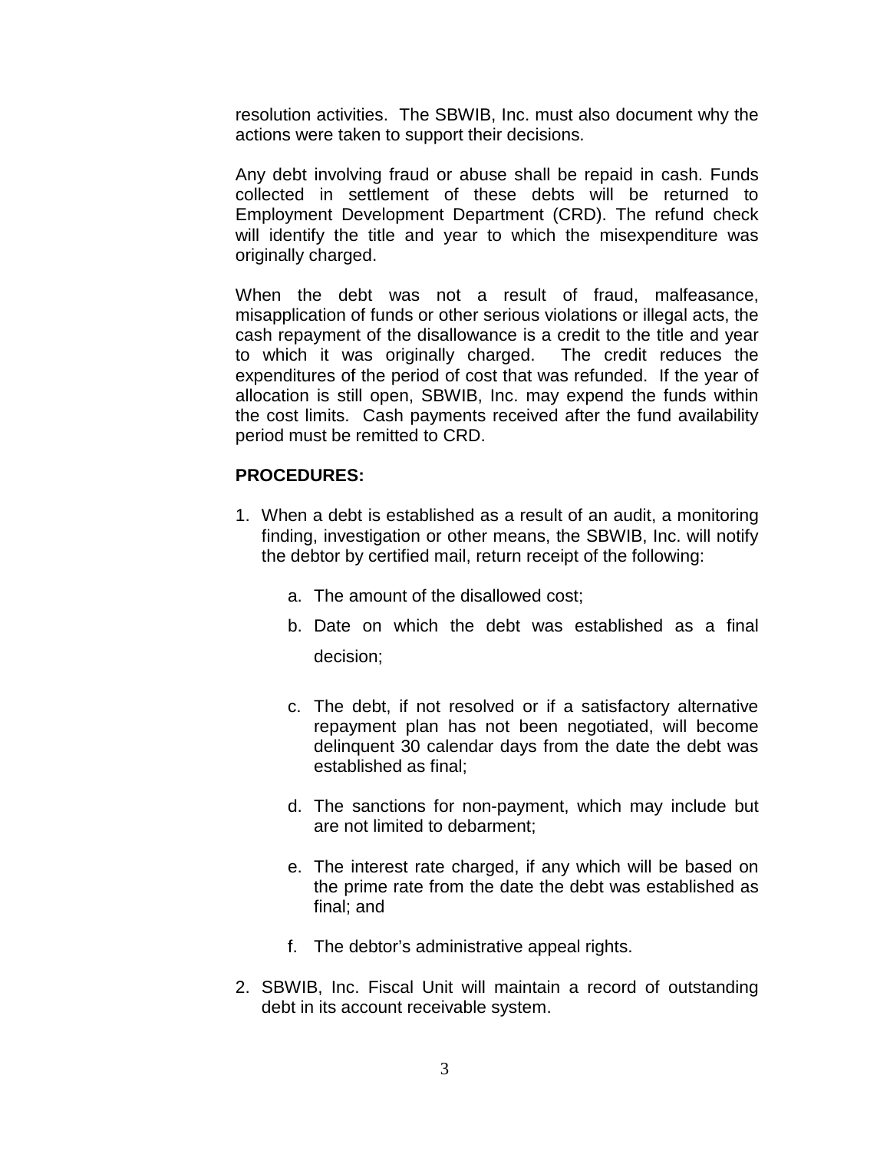resolution activities. The SBWIB, Inc. must also document why the actions were taken to support their decisions.

Any debt involving fraud or abuse shall be repaid in cash. Funds collected in settlement of these debts will be returned to Employment Development Department (CRD). The refund check will identify the title and year to which the misexpenditure was originally charged.

When the debt was not a result of fraud, malfeasance, misapplication of funds or other serious violations or illegal acts, the cash repayment of the disallowance is a credit to the title and year to which it was originally charged. The credit reduces the expenditures of the period of cost that was refunded. If the year of allocation is still open, SBWIB, Inc. may expend the funds within the cost limits. Cash payments received after the fund availability period must be remitted to CRD.

## **PROCEDURES:**

- 1. When a debt is established as a result of an audit, a monitoring finding, investigation or other means, the SBWIB, Inc. will notify the debtor by certified mail, return receipt of the following:
	- a. The amount of the disallowed cost;
	- b. Date on which the debt was established as a final decision;
	- c. The debt, if not resolved or if a satisfactory alternative repayment plan has not been negotiated, will become delinquent 30 calendar days from the date the debt was established as final;
	- d. The sanctions for non-payment, which may include but are not limited to debarment;
	- e. The interest rate charged, if any which will be based on the prime rate from the date the debt was established as final; and
	- f. The debtor's administrative appeal rights.
- 2. SBWIB, Inc. Fiscal Unit will maintain a record of outstanding debt in its account receivable system.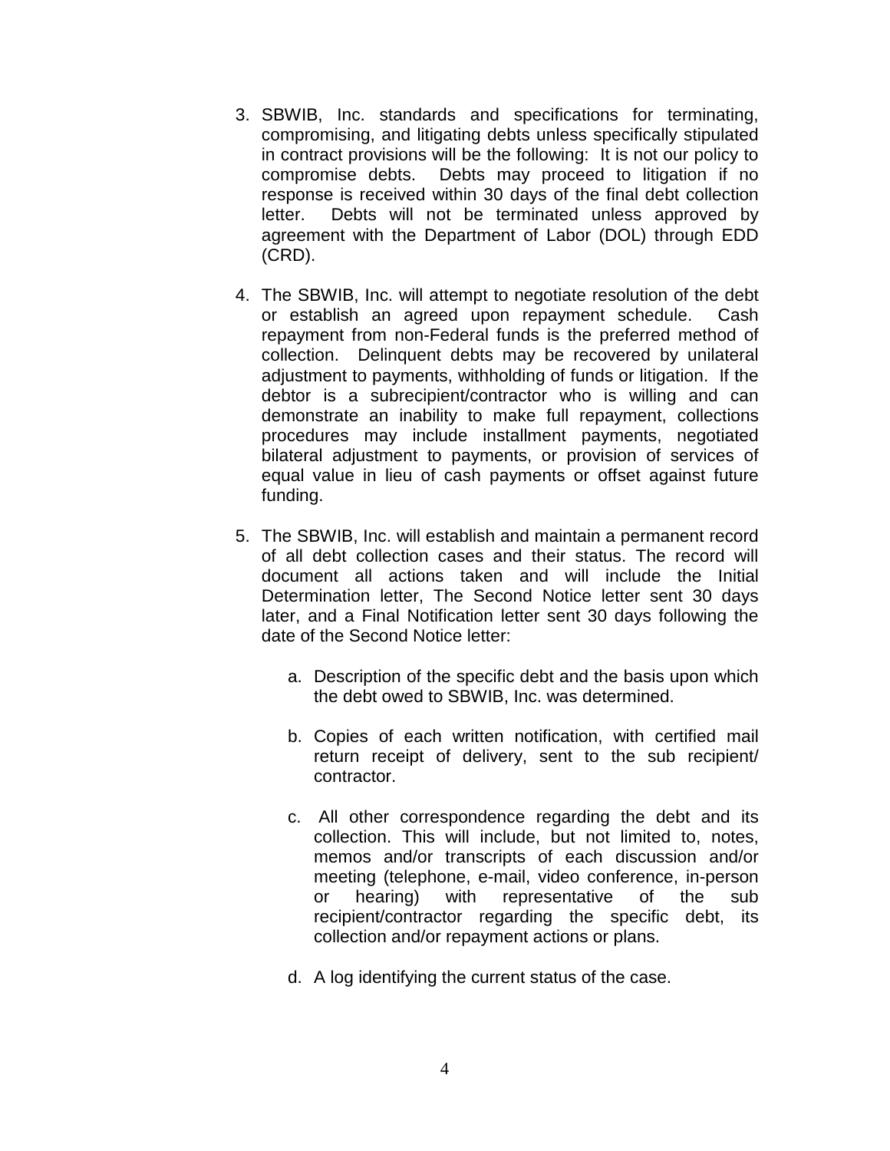- 3. SBWIB, Inc. standards and specifications for terminating, compromising, and litigating debts unless specifically stipulated in contract provisions will be the following: It is not our policy to compromise debts. Debts may proceed to litigation if no response is received within 30 days of the final debt collection letter. Debts will not be terminated unless approved by agreement with the Department of Labor (DOL) through EDD (CRD).
- 4. The SBWIB, Inc. will attempt to negotiate resolution of the debt or establish an agreed upon repayment schedule. Cash repayment from non-Federal funds is the preferred method of collection. Delinquent debts may be recovered by unilateral adjustment to payments, withholding of funds or litigation. If the debtor is a subrecipient/contractor who is willing and can demonstrate an inability to make full repayment, collections procedures may include installment payments, negotiated bilateral adjustment to payments, or provision of services of equal value in lieu of cash payments or offset against future funding.
- 5. The SBWIB, Inc. will establish and maintain a permanent record of all debt collection cases and their status. The record will document all actions taken and will include the Initial Determination letter, The Second Notice letter sent 30 days later, and a Final Notification letter sent 30 days following the date of the Second Notice letter:
	- a. Description of the specific debt and the basis upon which the debt owed to SBWIB, Inc. was determined.
	- b. Copies of each written notification, with certified mail return receipt of delivery, sent to the sub recipient/ contractor.
	- c. All other correspondence regarding the debt and its collection. This will include, but not limited to, notes, memos and/or transcripts of each discussion and/or meeting (telephone, e-mail, video conference, in-person or hearing) with representative of the sub recipient/contractor regarding the specific debt, its collection and/or repayment actions or plans.
	- d. A log identifying the current status of the case.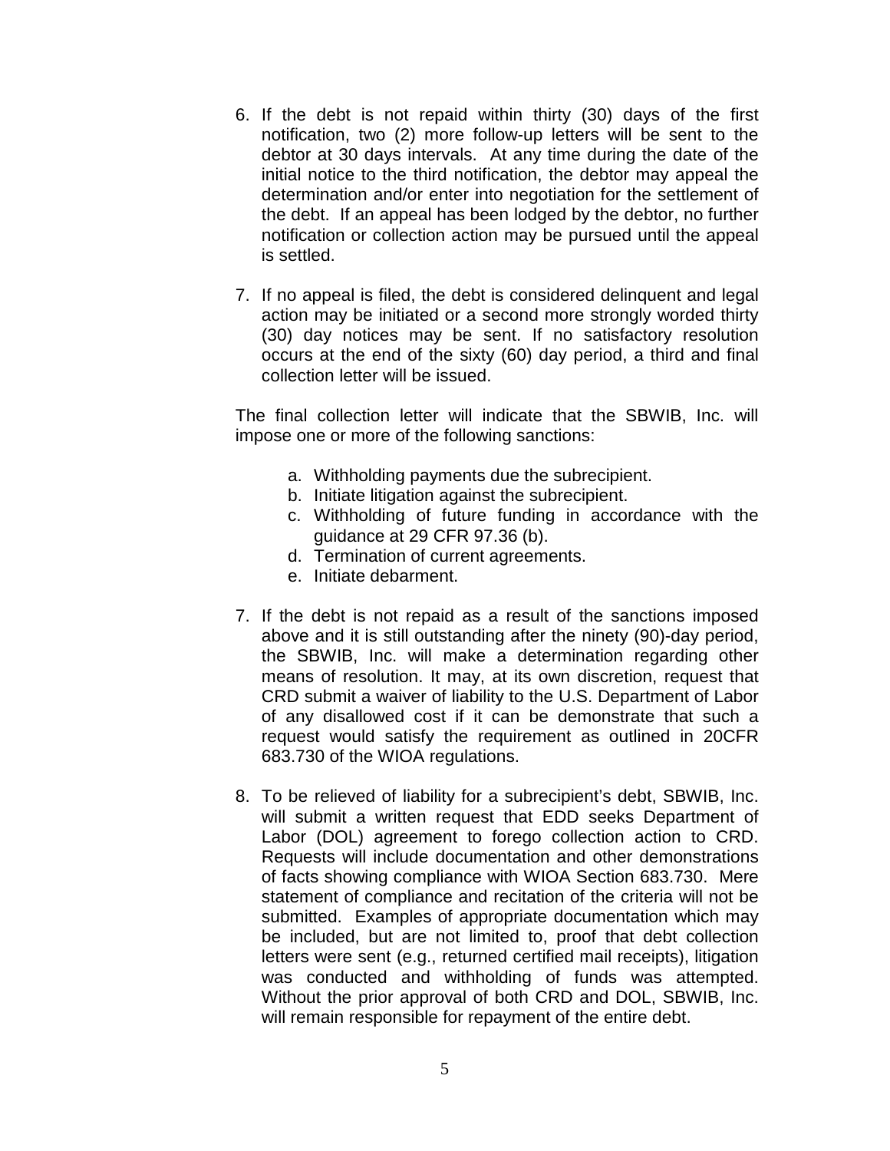- 6. If the debt is not repaid within thirty (30) days of the first notification, two (2) more follow-up letters will be sent to the debtor at 30 days intervals. At any time during the date of the initial notice to the third notification, the debtor may appeal the determination and/or enter into negotiation for the settlement of the debt. If an appeal has been lodged by the debtor, no further notification or collection action may be pursued until the appeal is settled.
- 7. If no appeal is filed, the debt is considered delinquent and legal action may be initiated or a second more strongly worded thirty (30) day notices may be sent. If no satisfactory resolution occurs at the end of the sixty (60) day period, a third and final collection letter will be issued.

The final collection letter will indicate that the SBWIB, Inc. will impose one or more of the following sanctions:

- a. Withholding payments due the subrecipient.
- b. Initiate litigation against the subrecipient.
- c. Withholding of future funding in accordance with the guidance at 29 CFR 97.36 (b).
- d. Termination of current agreements.
- e. Initiate debarment.
- 7. If the debt is not repaid as a result of the sanctions imposed above and it is still outstanding after the ninety (90)-day period, the SBWIB, Inc. will make a determination regarding other means of resolution. It may, at its own discretion, request that CRD submit a waiver of liability to the U.S. Department of Labor of any disallowed cost if it can be demonstrate that such a request would satisfy the requirement as outlined in 20CFR 683.730 of the WIOA regulations.
- 8. To be relieved of liability for a subrecipient's debt, SBWIB, Inc. will submit a written request that EDD seeks Department of Labor (DOL) agreement to forego collection action to CRD. Requests will include documentation and other demonstrations of facts showing compliance with WIOA Section 683.730. Mere statement of compliance and recitation of the criteria will not be submitted. Examples of appropriate documentation which may be included, but are not limited to, proof that debt collection letters were sent (e.g., returned certified mail receipts), litigation was conducted and withholding of funds was attempted. Without the prior approval of both CRD and DOL, SBWIB, Inc. will remain responsible for repayment of the entire debt.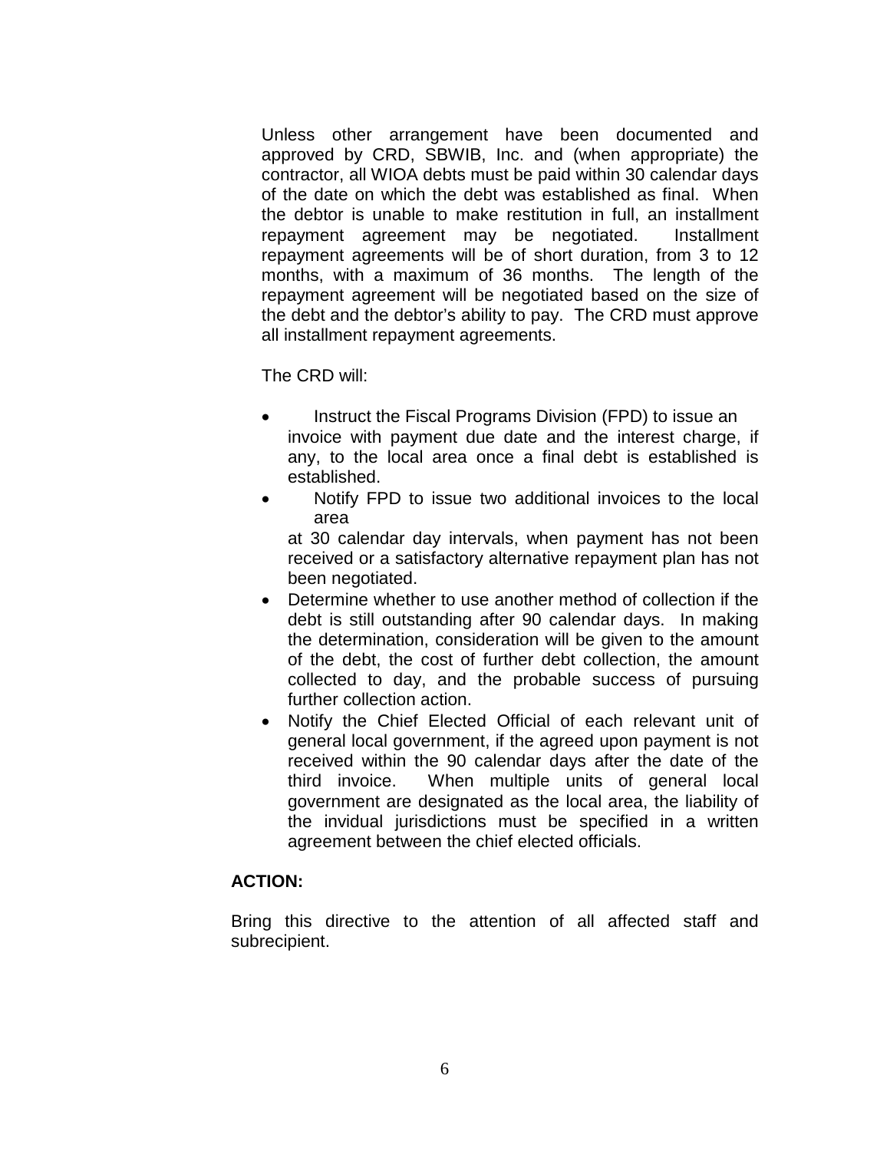Unless other arrangement have been documented and approved by CRD, SBWIB, Inc. and (when appropriate) the contractor, all WIOA debts must be paid within 30 calendar days of the date on which the debt was established as final. When the debtor is unable to make restitution in full, an installment repayment agreement may be negotiated. Installment repayment agreements will be of short duration, from 3 to 12 months, with a maximum of 36 months. The length of the repayment agreement will be negotiated based on the size of the debt and the debtor's ability to pay. The CRD must approve all installment repayment agreements.

The CRD will:

- Instruct the Fiscal Programs Division (FPD) to issue an invoice with payment due date and the interest charge, if any, to the local area once a final debt is established is established.
- Notify FPD to issue two additional invoices to the local area

at 30 calendar day intervals, when payment has not been received or a satisfactory alternative repayment plan has not been negotiated.

- Determine whether to use another method of collection if the debt is still outstanding after 90 calendar days. In making the determination, consideration will be given to the amount of the debt, the cost of further debt collection, the amount collected to day, and the probable success of pursuing further collection action.
- Notify the Chief Elected Official of each relevant unit of general local government, if the agreed upon payment is not received within the 90 calendar days after the date of the third invoice. When multiple units of general local government are designated as the local area, the liability of the invidual jurisdictions must be specified in a written agreement between the chief elected officials.

## **ACTION:**

Bring this directive to the attention of all affected staff and subrecipient.